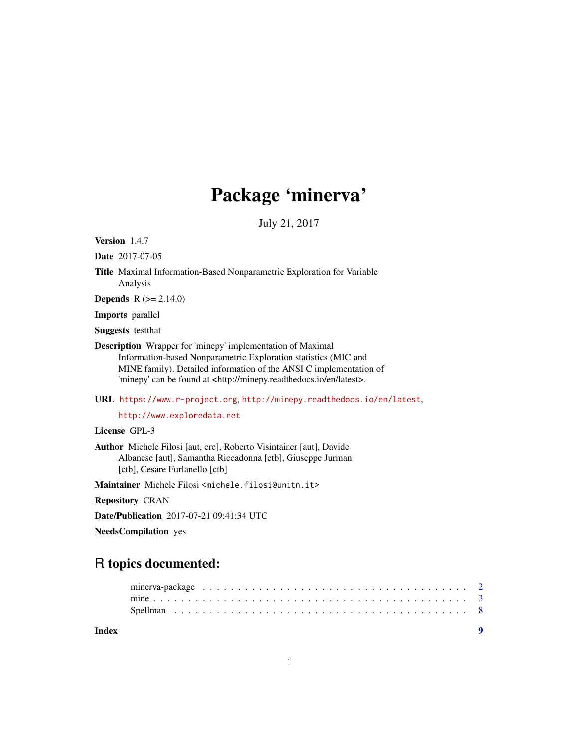## Package 'minerva'

July 21, 2017

Version 1.4.7

Date 2017-07-05

Title Maximal Information-Based Nonparametric Exploration for Variable Analysis

**Depends**  $R (= 2.14.0)$ 

Imports parallel

Suggests testthat

Description Wrapper for 'minepy' implementation of Maximal Information-based Nonparametric Exploration statistics (MIC and MINE family). Detailed information of the ANSI C implementation of 'minepy' can be found at <http://minepy.readthedocs.io/en/latest>.

URL <https://www.r-project.org>, <http://minepy.readthedocs.io/en/latest>,

<http://www.exploredata.net>

License GPL-3

Author Michele Filosi [aut, cre], Roberto Visintainer [aut], Davide Albanese [aut], Samantha Riccadonna [ctb], Giuseppe Jurman [ctb], Cesare Furlanello [ctb]

Maintainer Michele Filosi <michele.filosi@unitn.it>

Repository CRAN

Date/Publication 2017-07-21 09:41:34 UTC

NeedsCompilation yes

### R topics documented:

**Index** [9](#page-8-0)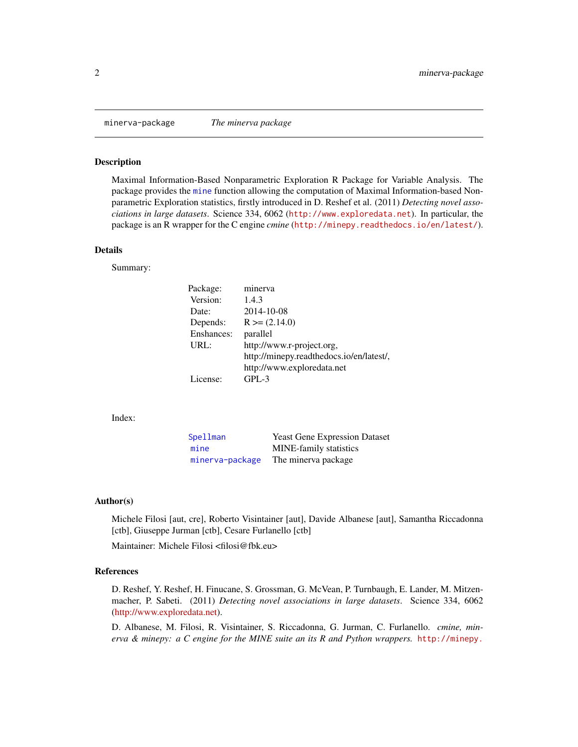<span id="page-1-1"></span><span id="page-1-0"></span>

#### Description

Maximal Information-Based Nonparametric Exploration R Package for Variable Analysis. The package provides the [mine](#page-2-1) function allowing the computation of Maximal Information-based Nonparametric Exploration statistics, firstly introduced in D. Reshef et al. (2011) *Detecting novel associations in large datasets*. Science 334, 6062 (<http://www.exploredata.net>). In particular, the package is an R wrapper for the C engine *cmine* (<http://minepy.readthedocs.io/en/latest/>).

#### Details

Summary:

| Package:   | minerva                                  |
|------------|------------------------------------------|
| Version:   | 1.4.3                                    |
| Date:      | 2014-10-08                               |
| Depends:   | $R \ge (2.14.0)$                         |
| Enshances: | parallel                                 |
| URL:       | http://www.r-project.org,                |
|            | http://minepy.readthedocs.io/en/latest/, |
|            | http://www.exploredata.net               |
| License:   | $GPI - 3$                                |

Index:

| Spellman        | <b>Yeast Gene Expression Dataset</b> |
|-----------------|--------------------------------------|
| mine            | <b>MINE-family statistics</b>        |
| minerva-package | The minerva package                  |

#### Author(s)

Michele Filosi [aut, cre], Roberto Visintainer [aut], Davide Albanese [aut], Samantha Riccadonna [ctb], Giuseppe Jurman [ctb], Cesare Furlanello [ctb]

Maintainer: Michele Filosi <filosi@fbk.eu>

#### References

D. Reshef, Y. Reshef, H. Finucane, S. Grossman, G. McVean, P. Turnbaugh, E. Lander, M. Mitzenmacher, P. Sabeti. (2011) *Detecting novel associations in large datasets*. Science 334, 6062 [\(http://www.exploredata.net\)](http://www.exploredata.net).

D. Albanese, M. Filosi, R. Visintainer, S. Riccadonna, G. Jurman, C. Furlanello. *cmine, minerva & minepy: a C engine for the MINE suite an its R and Python wrappers.* [http://minepy.](http://minepy.readthedocs.io/en/latest/)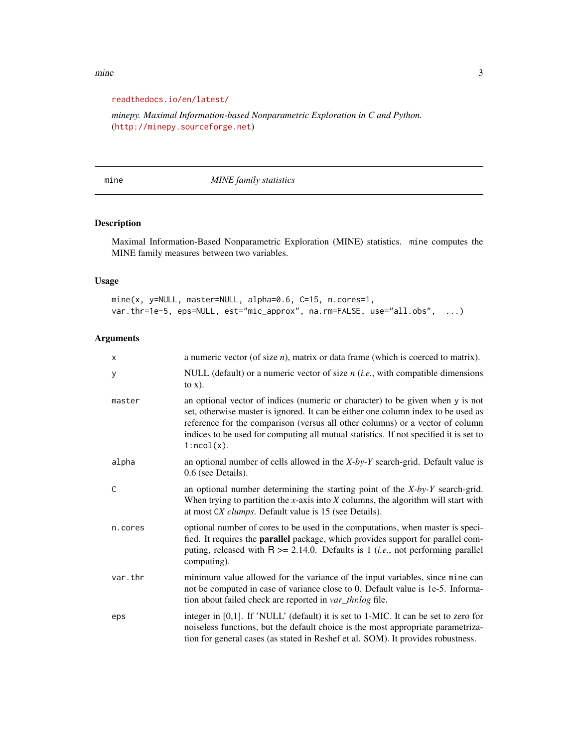#### <span id="page-2-0"></span>[mine](http://minepy.readthedocs.io/en/latest/) 3

#### [readthedocs.io/en/latest/](http://minepy.readthedocs.io/en/latest/)

*minepy. Maximal Information-based Nonparametric Exploration in C and Python.* (<http://minepy.sourceforge.net>)

<span id="page-2-1"></span>mine *MINE family statistics*

#### Description

Maximal Information-Based Nonparametric Exploration (MINE) statistics. mine computes the MINE family measures between two variables.

#### Usage

mine(x, y=NULL, master=NULL, alpha=0.6, C=15, n.cores=1, var.thr=1e-5, eps=NULL, est="mic\_approx", na.rm=FALSE, use="all.obs", ...)

#### Arguments

| $\mathsf{x}$ | a numeric vector (of size $n$ ), matrix or data frame (which is coerced to matrix).                                                                                                                                                                                                                                                                            |
|--------------|----------------------------------------------------------------------------------------------------------------------------------------------------------------------------------------------------------------------------------------------------------------------------------------------------------------------------------------------------------------|
| y            | NULL (default) or a numeric vector of size $n$ ( <i>i.e.</i> , with compatible dimensions<br>to $x)$ .                                                                                                                                                                                                                                                         |
| master       | an optional vector of indices (numeric or character) to be given when y is not<br>set, otherwise master is ignored. It can be either one column index to be used as<br>reference for the comparison (versus all other columns) or a vector of column<br>indices to be used for computing all mutual statistics. If not specified it is set to<br>$1:ncol(x)$ . |
| alpha        | an optional number of cells allowed in the $X-by-Y$ search-grid. Default value is<br>0.6 (see Details).                                                                                                                                                                                                                                                        |
| C            | an optional number determining the starting point of the $X-by-Y$ search-grid.<br>When trying to partition the $x$ -axis into $X$ columns, the algorithm will start with<br>at most CX clumps. Default value is 15 (see Details).                                                                                                                              |
| n.cores      | optional number of cores to be used in the computations, when master is speci-<br>fied. It requires the parallel package, which provides support for parallel com-<br>puting, released with $R > = 2.14.0$ . Defaults is 1 ( <i>i.e.</i> , not performing parallel<br>computing).                                                                              |
| var.thr      | minimum value allowed for the variance of the input variables, since mine can<br>not be computed in case of variance close to 0. Default value is 1e-5. Informa-<br>tion about failed check are reported in var_thr.log file.                                                                                                                                  |
| eps          | integer in [0,1]. If 'NULL' (default) it is set to 1-MIC. It can be set to zero for<br>noiseless functions, but the default choice is the most appropriate parametriza-<br>tion for general cases (as stated in Reshef et al. SOM). It provides robustness.                                                                                                    |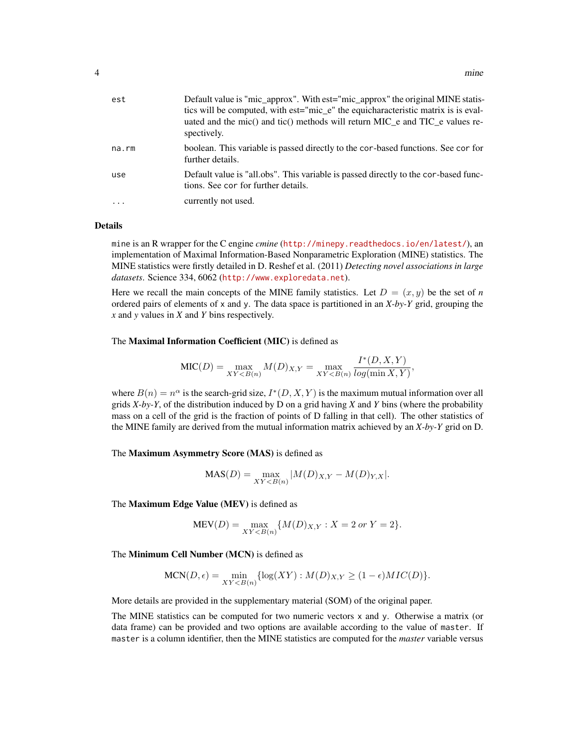| est     | Default value is "mic_approx". With est="mic_approx" the original MINE statis-<br>tics will be computed, with est="mic_e" the equicharacteristic matrix is is eval-<br>uated and the mic() and tic() methods will return MIC e and TIC e values re-<br>spectively. |
|---------|--------------------------------------------------------------------------------------------------------------------------------------------------------------------------------------------------------------------------------------------------------------------|
| na.rm   | boolean. This variable is passed directly to the cor-based functions. See cor for<br>further details.                                                                                                                                                              |
| use     | Default value is "all.obs". This variable is passed directly to the cor-based func-<br>tions. See cor for further details.                                                                                                                                         |
| $\cdot$ | currently not used.                                                                                                                                                                                                                                                |

#### Details

mine is an R wrapper for the C engine *cmine* (<http://minepy.readthedocs.io/en/latest/>), an implementation of Maximal Information-Based Nonparametric Exploration (MINE) statistics. The MINE statistics were firstly detailed in D. Reshef et al. (2011) *Detecting novel associations in large datasets*. Science 334, 6062 (<http://www.exploredata.net>).

Here we recall the main concepts of the MINE family statistics. Let  $D = (x, y)$  be the set of *n* ordered pairs of elements of x and y. The data space is partitioned in an *X-by-Y* grid, grouping the *x* and *y* values in *X* and *Y* bins respectively.

#### The Maximal Information Coefficient (MIC) is defined as

$$
MIC(D) = \max_{XY < B(n)} M(D)_{X,Y} = \max_{XY < B(n)} \frac{I^*(D, X, Y)}{\log(\min X, Y)},
$$

where  $B(n) = n^{\alpha}$  is the search-grid size,  $I^*(D, X, Y)$  is the maximum mutual information over all grids *X-by-Y*, of the distribution induced by D on a grid having *X* and *Y* bins (where the probability mass on a cell of the grid is the fraction of points of D falling in that cell). The other statistics of the MINE family are derived from the mutual information matrix achieved by an *X-by-Y* grid on D.

The Maximum Asymmetry Score (MAS) is defined as

$$
MAS(D) = \max_{XY < B(n)} |M(D)_{X,Y} - M(D)_{Y,X}|.
$$

The Maximum Edge Value (MEV) is defined as

$$
MEV(D) = \max_{XY < B(n)} \{ M(D)_{X,Y} : X = 2 \text{ or } Y = 2 \}.
$$

The Minimum Cell Number (MCN) is defined as

$$
\text{MCN}(D,\epsilon) = \min_{XY < B(n)} \{ \log(XY) : M(D)_{X,Y} \ge (1-\epsilon)MIC(D) \}.
$$

More details are provided in the supplementary material (SOM) of the original paper.

The MINE statistics can be computed for two numeric vectors x and y. Otherwise a matrix (or data frame) can be provided and two options are available according to the value of master. If master is a column identifier, then the MINE statistics are computed for the *master* variable versus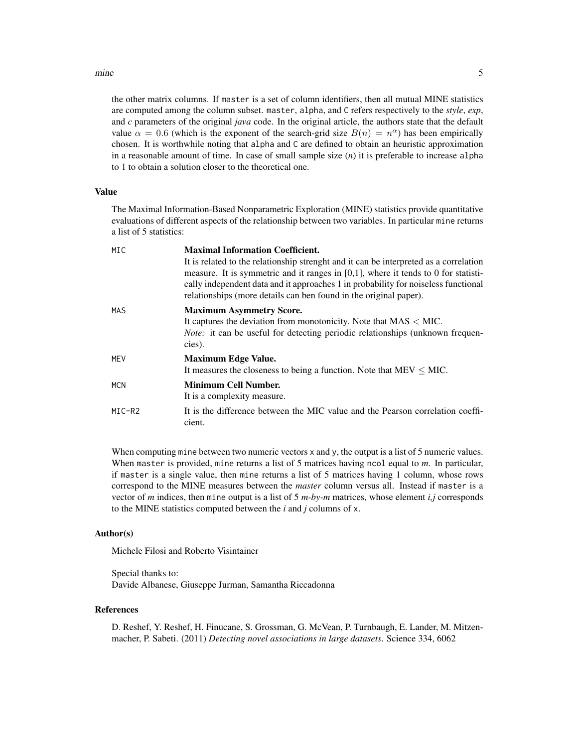#### mine 5

the other matrix columns. If master is a set of column identifiers, then all mutual MINE statistics are computed among the column subset. master, alpha, and C refers respectively to the *style*, *exp*, and *c* parameters of the original *java* code. In the original article, the authors state that the default value  $\alpha = 0.6$  (which is the exponent of the search-grid size  $B(n) = n^{\alpha}$ ) has been empirically chosen. It is worthwhile noting that alpha and C are defined to obtain an heuristic approximation in a reasonable amount of time. In case of small sample size (*n*) it is preferable to increase alpha to 1 to obtain a solution closer to the theoretical one.

#### Value

The Maximal Information-Based Nonparametric Exploration (MINE) statistics provide quantitative evaluations of different aspects of the relationship between two variables. In particular mine returns a list of 5 statistics:

| MIC    | <b>Maximal Information Coefficient.</b>                                                                                                                                     |
|--------|-----------------------------------------------------------------------------------------------------------------------------------------------------------------------------|
|        | It is related to the relationship strenght and it can be interpreted as a correlation                                                                                       |
|        | measure. It is symmetric and it ranges in $[0,1]$ , where it tends to 0 for statisti-<br>cally independent data and it approaches 1 in probability for noiseless functional |
|        | relationships (more details can ben found in the original paper).                                                                                                           |
| MAS    | <b>Maximum Asymmetry Score.</b>                                                                                                                                             |
|        | It captures the deviation from monotonicity. Note that $MAS < MIC$ .                                                                                                        |
|        | <i>Note:</i> it can be useful for detecting periodic relationships (unknown frequen-                                                                                        |
|        | cies).                                                                                                                                                                      |
| MFV    | <b>Maximum Edge Value.</b>                                                                                                                                                  |
|        | It measures the closeness to being a function. Note that $MEV \leq MIC$ .                                                                                                   |
| MCN    | <b>Minimum Cell Number.</b>                                                                                                                                                 |
|        | It is a complexity measure.                                                                                                                                                 |
| MIC-R2 | It is the difference between the MIC value and the Pearson correlation coeffi-<br>cient.                                                                                    |

When computing mine between two numeric vectors x and y, the output is a list of 5 numeric values. When master is provided, mine returns a list of 5 matrices having ncol equal to *m*. In particular, if master is a single value, then mine returns a list of 5 matrices having 1 column, whose rows correspond to the MINE measures between the *master* column versus all. Instead if master is a vector of *m* indices, then mine output is a list of 5 *m-by-m* matrices, whose element *i,j* corresponds to the MINE statistics computed between the *i* and *j* columns of x.

#### Author(s)

Michele Filosi and Roberto Visintainer

Special thanks to: Davide Albanese, Giuseppe Jurman, Samantha Riccadonna

#### References

D. Reshef, Y. Reshef, H. Finucane, S. Grossman, G. McVean, P. Turnbaugh, E. Lander, M. Mitzenmacher, P. Sabeti. (2011) *Detecting novel associations in large datasets*. Science 334, 6062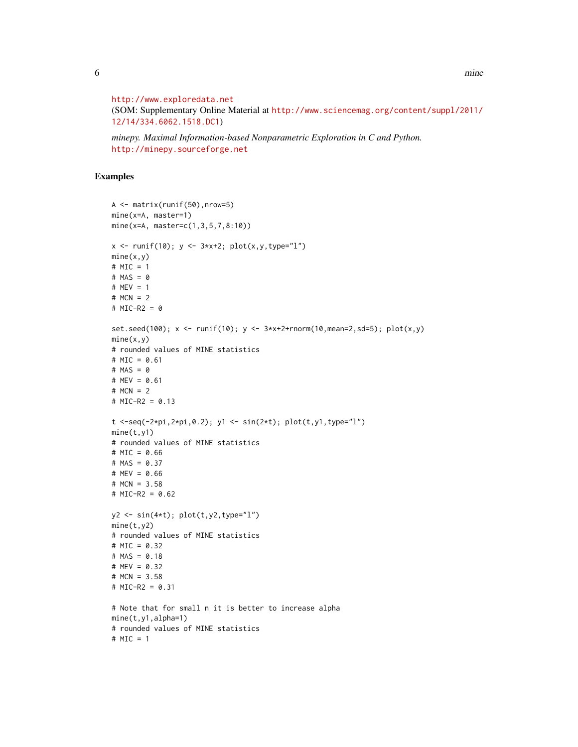6 mine

```
http://www.exploredata.net
```
(SOM: Supplementary Online Material at [http://www.sciencemag.org/content/suppl/2011/](http://www.sciencemag.org/content/suppl/2011/12/14/334.6062.1518.DC1) [12/14/334.6062.1518.DC1](http://www.sciencemag.org/content/suppl/2011/12/14/334.6062.1518.DC1))

*minepy. Maximal Information-based Nonparametric Exploration in C and Python.* <http://minepy.sourceforge.net>

#### Examples

```
A <- matrix(runif(50),nrow=5)
mine(x=A, master=1)
mine(x=A, master=c(1,3,5,7,8:10))
x \le runif(10); y \le -3*x+2; plot(x, y, type="1")mine(x,y)# MIC = 1
# MAS = 0
# MEV = 1
# MCN = 2
# MIC-R2 = 0
set.seed(100); x <- runif(10); y <- 3*x+2+rnorm(10,mean=2,sd=5); plot(x,y)
mine(x,y)# rounded values of MINE statistics
# MIC = 0.61
# MAS = 0
# MEV = 0.61
# MCN = 2# MIC-R2 = 0.13
t < -seq(-2*pi, 2*pi, 0.2); y1 < -sin(2*t); plot(t, y1, type="1")mine(t,y1)
# rounded values of MINE statistics
# MIC = 0.66
# MAS = 0.37
# MEV = 0.66# MCN = 3.58
# MIC-R2 = 0.62
y2 \le -\sin(4*t); \text{plot}(t,y2,type="1")mine(t,y2)
# rounded values of MINE statistics
# MIC = 0.32
# MAS = 0.18
# MEV = 0.32
# MCN = 3.58
# MIC-R2 = 0.31
# Note that for small n it is better to increase alpha
mine(t,y1,alpha=1)
# rounded values of MINE statistics
# MIC = 1
```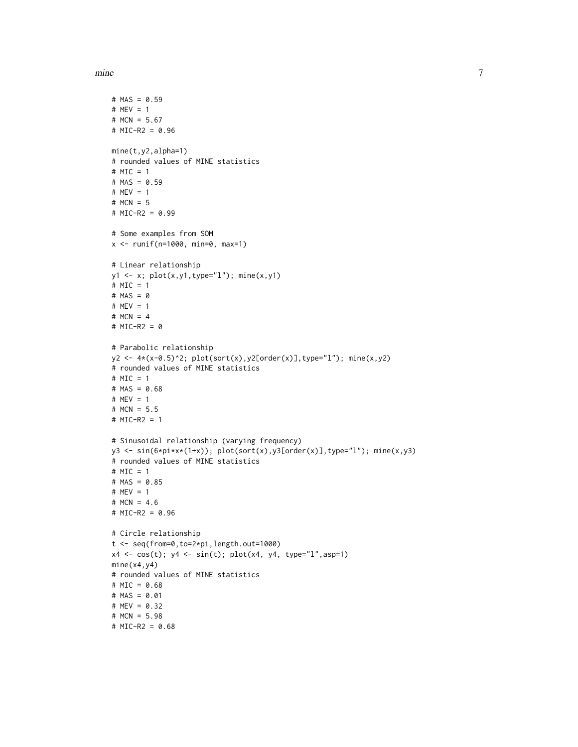mine the contract of the contract of the contract of the contract of the contract of the contract of the contract of the contract of the contract of the contract of the contract of the contract of the contract of the contr

```
# MAS = 0.59
# MEV = 1
# MCN = 5.67
# MIC-R2 = 0.96
mine(t,y2,alpha=1)
# rounded values of MINE statistics
# MIC = 1
# MAS = 0.59# MEV = 1
# MCN = 5
# MIC-R2 = 0.99
# Some examples from SOM
x <- runif(n=1000, min=0, max=1)
# Linear relationship
y1 <- x; plot(x,y1,type="l"); mine(x,y1)
# MIC = 1
# MAS = 0
# MEV = 1
# MCN = 4# MIC-R2 = 0
# Parabolic relationship
y2 \leq 4*(x-0.5)^2; plot(sort(x),y2[order(x)],type="l"); mine(x,y2)
# rounded values of MINE statistics
# MIC = 1
# MAS = 0.68
# MEV = 1
# MCN = 5.5
# MIC-R2 = 1
# Sinusoidal relationship (varying frequency)
y3 <- sin(6*pi*x*(1+x)); plot(sort(x),y3[order(x)],type="l"); mine(x,y3)
# rounded values of MINE statistics
# MIC = 1
# MAS = 0.85
# MEV = 1
# MCN = 4.6
# MIC-R2 = 0.96
# Circle relationship
t <- seq(from=0,to=2*pi,length.out=1000)
x4 <- cos(t); y4 <- sin(t); plot(x4, y4, type="l",asp=1)
mine(x4,y4)
# rounded values of MINE statistics
# MIC = 0.68
# MAS = 0.01
# MEV = 0.32# MCN = 5.98
# MIC-R2 = 0.68
```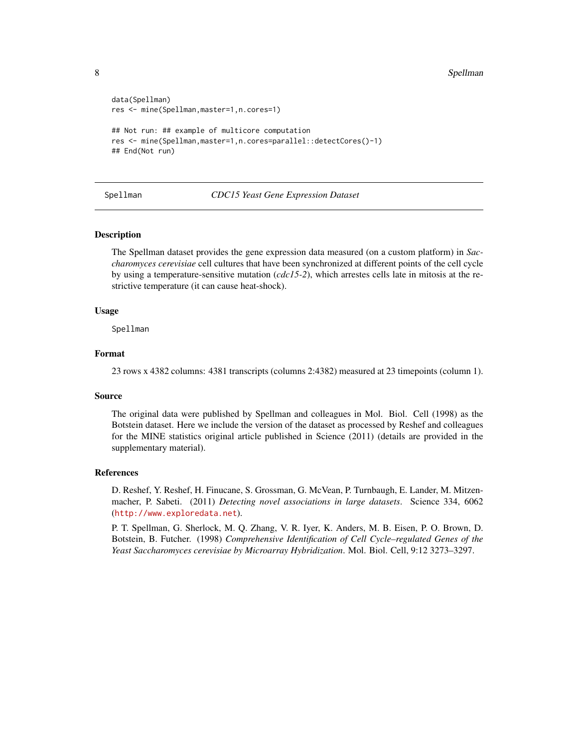```
data(Spellman)
res <- mine(Spellman,master=1,n.cores=1)
## Not run: ## example of multicore computation
res <- mine(Spellman,master=1,n.cores=parallel::detectCores()-1)
## End(Not run)
```
#### <span id="page-7-1"></span>Spellman *CDC15 Yeast Gene Expression Dataset*

#### **Description**

The Spellman dataset provides the gene expression data measured (on a custom platform) in *Saccharomyces cerevisiae* cell cultures that have been synchronized at different points of the cell cycle by using a temperature-sensitive mutation (*cdc15-2*), which arrestes cells late in mitosis at the restrictive temperature (it can cause heat-shock).

#### Usage

Spellman

#### Format

23 rows x 4382 columns: 4381 transcripts (columns 2:4382) measured at 23 timepoints (column 1).

#### Source

The original data were published by Spellman and colleagues in Mol. Biol. Cell (1998) as the Botstein dataset. Here we include the version of the dataset as processed by Reshef and colleagues for the MINE statistics original article published in Science (2011) (details are provided in the supplementary material).

#### References

D. Reshef, Y. Reshef, H. Finucane, S. Grossman, G. McVean, P. Turnbaugh, E. Lander, M. Mitzenmacher, P. Sabeti. (2011) *Detecting novel associations in large datasets*. Science 334, 6062 (<http://www.exploredata.net>).

P. T. Spellman, G. Sherlock, M. Q. Zhang, V. R. Iyer, K. Anders, M. B. Eisen, P. O. Brown, D. Botstein, B. Futcher. (1998) *Comprehensive Identification of Cell Cycle–regulated Genes of the Yeast Saccharomyces cerevisiae by Microarray Hybridization*. Mol. Biol. Cell, 9:12 3273–3297.